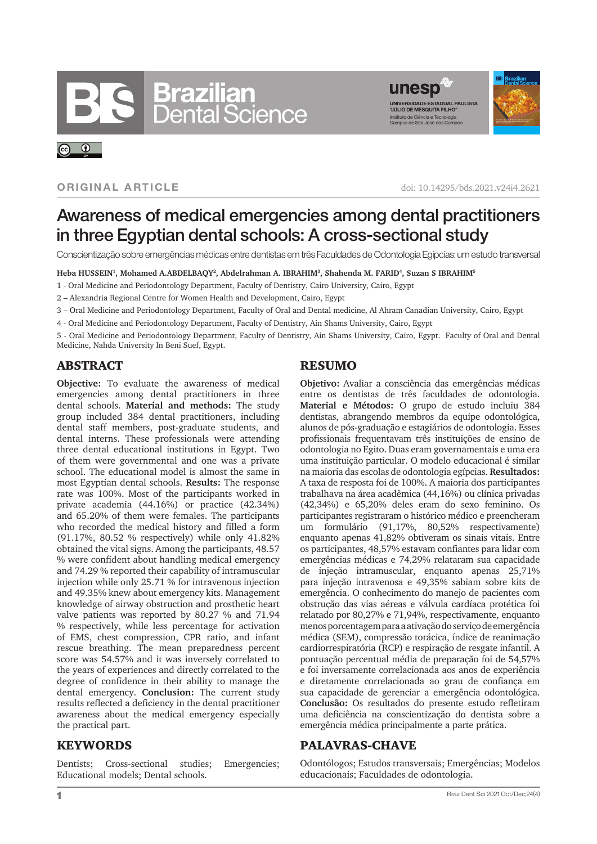# **Brazilian<br>Dental Science**



#### **ORIGINAL ARTICLE**

 $\odot$ 

doi: 10.14295/bds.2021.v24i4.2621

## Awareness of medical emergencies among dental practitioners in three Egyptian dental schools: A cross-sectional study

Conscientização sobre emergências médicas entre dentistas em três Faculdades de Odontologia Egípcias: um estudo transversal

#### **Heba HUSSEIN1, Mohamed A.ABDELBAQY2, Abdelrahman A. IBRAHIM3, Shahenda M. FARID4, Suzan S IBRAHIM5**

- 1 Oral Medicine and Periodontology Department, Faculty of Dentistry, Cairo University, Cairo, Egypt
- 2 Alexandria Regional Centre for Women Health and Development, Cairo, Egypt
- 3 Oral Medicine and Periodontology Department, Faculty of Oral and Dental medicine, Al Ahram Canadian University, Cairo, Egypt
- 4 Oral Medicine and Periodontology Department, Faculty of Dentistry, Ain Shams University, Cairo, Egypt

5 - Oral Medicine and Periodontology Department, Faculty of Dentistry, Ain Shams University, Cairo, Egypt. Faculty of Oral and Dental Medicine, Nahda University In Beni Suef, Egypt.

## ABSTRACT

**Objective:** To evaluate the awareness of medical emergencies among dental practitioners in three dental schools. **Material and methods:** The study group included 384 dental practitioners, including dental staff members, post-graduate students, and dental interns. These professionals were attending three dental educational institutions in Egypt. Two of them were governmental and one was a private school. The educational model is almost the same in most Egyptian dental schools. **Results:** The response rate was 100%. Most of the participants worked in private academia (44.16%) or practice (42.34%) and 65.20% of them were females. The participants who recorded the medical history and filled a form (91.17%, 80.52 % respectively) while only 41.82% obtained the vital signs. Among the participants, 48.57 % were confident about handling medical emergency and 74.29 % reported their capability of intramuscular injection while only 25.71 % for intravenous injection and 49.35% knew about emergency kits. Management knowledge of airway obstruction and prosthetic heart valve patients was reported by 80.27 % and 71.94 % respectively, while less percentage for activation of EMS, chest compression, CPR ratio, and infant rescue breathing. The mean preparedness percent score was 54.57% and it was inversely correlated to the years of experiences and directly correlated to the degree of confidence in their ability to manage the dental emergency. **Conclusion:** The current study results reflected a deficiency in the dental practitioner awareness about the medical emergency especially the practical part.

Dentists; Cross-sectional studies; Emergencies;

Educational models; Dental schools.

## RESUMO

**Objetivo:** Avaliar a consciência das emergências médicas entre os dentistas de três faculdades de odontologia. **Material e Métodos:** O grupo de estudo incluiu 384 dentistas, abrangendo membros da equipe odontológica, alunos de pós-graduação e estagiários de odontologia. Esses profissionais frequentavam três instituições de ensino de odontologia no Egito. Duas eram governamentais e uma era uma instituição particular. O modelo educacional é similar na maioria das escolas de odontologia egípcias. **Resultados:** A taxa de resposta foi de 100%. A maioria dos participantes trabalhava na área acadêmica (44,16%) ou clínica privadas (42,34%) e 65,20% deles eram do sexo feminino. Os participantes registraram o histórico médico e preencheram um formulário (91,17%, 80,52% respectivamente) enquanto apenas 41,82% obtiveram os sinais vitais. Entre os participantes, 48,57% estavam confiantes para lidar com emergências médicas e 74,29% relataram sua capacidade de injeção intramuscular, enquanto apenas 25,71% para injeção intravenosa e 49,35% sabiam sobre kits de emergência. O conhecimento do manejo de pacientes com obstrução das vias aéreas e válvula cardíaca protética foi relatado por 80,27% e 71,94%, respectivamente, enquanto menos porcentagem para a ativação do serviço de emergência médica (SEM), compressão torácica, índice de reanimação cardiorrespiratória (RCP) e respiração de resgate infantil. A pontuação percentual média de preparação foi de 54,57% e foi inversamente correlacionada aos anos de experiência e diretamente correlacionada ao grau de confiança em sua capacidade de gerenciar a emergência odontológica. **Conclusão:** Os resultados do presente estudo refletiram uma deficiência na conscientização do dentista sobre a emergência médica principalmente a parte prática.

## PALAVRAS-CHAVE

Odontólogos; Estudos transversais; Emergências; Modelos educacionais; Faculdades de odontologia.

#### Braz Dent Sci 2021 Oct/Dec;24(4) 1

**KEYWORDS**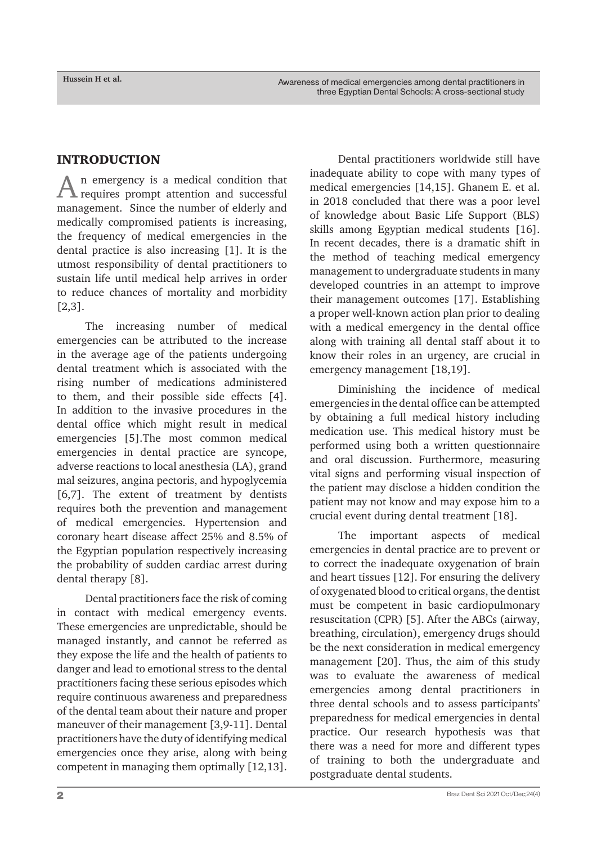#### INTRODUCTION

An emergency is a medical condition that  $\blacktriangle$  requires prompt attention and successful management. Since the number of elderly and medically compromised patients is increasing, the frequency of medical emergencies in the dental practice is also increasing [1]. It is the utmost responsibility of dental practitioners to sustain life until medical help arrives in order to reduce chances of mortality and morbidity [2,3].

The increasing number of medical emergencies can be attributed to the increase in the average age of the patients undergoing dental treatment which is associated with the rising number of medications administered to them, and their possible side effects [4]. In addition to the invasive procedures in the dental office which might result in medical emergencies [5].The most common medical emergencies in dental practice are syncope, adverse reactions to local anesthesia (LA), grand mal seizures, angina pectoris, and hypoglycemia [6,7]. The extent of treatment by dentists requires both the prevention and management of medical emergencies. Hypertension and coronary heart disease affect 25% and 8.5% of the Egyptian population respectively increasing the probability of sudden cardiac arrest during dental therapy [8].

Dental practitioners face the risk of coming in contact with medical emergency events. These emergencies are unpredictable, should be managed instantly, and cannot be referred as they expose the life and the health of patients to danger and lead to emotional stress to the dental practitioners facing these serious episodes which require continuous awareness and preparedness of the dental team about their nature and proper maneuver of their management [3,9-11]. Dental practitioners have the duty of identifying medical emergencies once they arise, along with being competent in managing them optimally [12,13].

Dental practitioners worldwide still have inadequate ability to cope with many types of medical emergencies [14,15]. Ghanem E. et al. in 2018 concluded that there was a poor level of knowledge about Basic Life Support (BLS) skills among Egyptian medical students [16]. In recent decades, there is a dramatic shift in the method of teaching medical emergency management to undergraduate students in many developed countries in an attempt to improve their management outcomes [17]. Establishing a proper well-known action plan prior to dealing with a medical emergency in the dental office along with training all dental staff about it to know their roles in an urgency, are crucial in emergency management [18,19].

Diminishing the incidence of medical emergencies in the dental office can be attempted by obtaining a full medical history including medication use. This medical history must be performed using both a written questionnaire and oral discussion. Furthermore, measuring vital signs and performing visual inspection of the patient may disclose a hidden condition the patient may not know and may expose him to a crucial event during dental treatment [18].

The important aspects of medical emergencies in dental practice are to prevent or to correct the inadequate oxygenation of brain and heart tissues [12]. For ensuring the delivery of oxygenated blood to critical organs, the dentist must be competent in basic cardiopulmonary resuscitation (CPR) [5]. After the ABCs (airway, breathing, circulation), emergency drugs should be the next consideration in medical emergency management [20]. Thus, the aim of this study was to evaluate the awareness of medical emergencies among dental practitioners in three dental schools and to assess participants' preparedness for medical emergencies in dental practice. Our research hypothesis was that there was a need for more and different types of training to both the undergraduate and postgraduate dental students.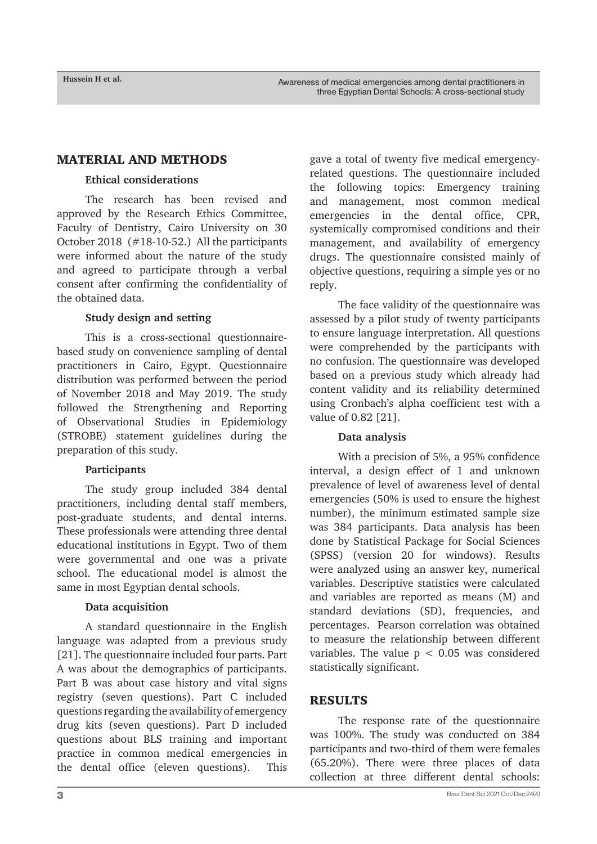#### MATERIAL AND METHODS

#### **Ethical considerations**

The research has been revised and approved by the Research Ethics Committee, Faculty of Dentistry, Cairo University on 30 October 2018 (#18-10-52.) All the participants were informed about the nature of the study and agreed to participate through a verbal consent after confirming the confidentiality of the obtained data.

#### **Study design and setting**

This is a cross-sectional questionnairebased study on convenience sampling of dental practitioners in Cairo, Egypt. Questionnaire distribution was performed between the period of November 2018 and May 2019. The study followed the Strengthening and Reporting of Observational Studies in Epidemiology (STROBE) statement guidelines during the preparation of this study.

#### **Participants**

The study group included 384 dental practitioners, including dental staff members, post-graduate students, and dental interns. These professionals were attending three dental educational institutions in Egypt. Two of them were governmental and one was a private school. The educational model is almost the same in most Egyptian dental schools.

#### **Data acquisition**

A standard questionnaire in the English language was adapted from a previous study [21]. The questionnaire included four parts. Part A was about the demographics of participants. Part B was about case history and vital signs registry (seven questions). Part C included questions regarding the availability of emergency drug kits (seven questions). Part D included questions about BLS training and important practice in common medical emergencies in the dental office (eleven questions). This

gave a total of twenty five medical emergencyrelated questions. The questionnaire included the following topics: Emergency training and management, most common medical emergencies in the dental office, CPR, systemically compromised conditions and their management, and availability of emergency drugs. The questionnaire consisted mainly of objective questions, requiring a simple yes or no reply.

The face validity of the questionnaire was assessed by a pilot study of twenty participants to ensure language interpretation. All questions were comprehended by the participants with no confusion. The questionnaire was developed based on a previous study which already had content validity and its reliability determined using Cronbach's alpha coefficient test with a value of 0.82 [21].

#### **Data analysis**

With a precision of 5%, a 95% confidence interval, a design effect of 1 and unknown prevalence of level of awareness level of dental emergencies (50% is used to ensure the highest number), the minimum estimated sample size was 384 participants. Data analysis has been done by Statistical Package for Social Sciences (SPSS) (version 20 for windows). Results were analyzed using an answer key, numerical variables. Descriptive statistics were calculated and variables are reported as means (M) and standard deviations (SD), frequencies, and percentages. Pearson correlation was obtained to measure the relationship between different variables. The value  $p < 0.05$  was considered statistically significant.

## RESULTS

The response rate of the questionnaire was 100%. The study was conducted on 384 participants and two-third of them were females (65.20%). There were three places of data collection at three different dental schools: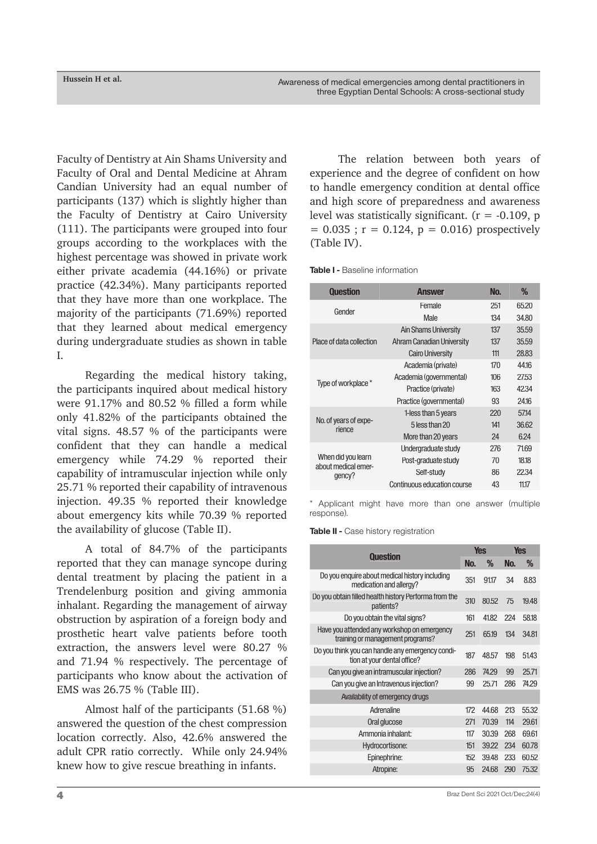Faculty of Dentistry at Ain Shams University and Faculty of Oral and Dental Medicine at Ahram Candian University had an equal number of participants (137) which is slightly higher than the Faculty of Dentistry at Cairo University (111). The participants were grouped into four groups according to the workplaces with the highest percentage was showed in private work either private academia (44.16%) or private practice (42.34%). Many participants reported that they have more than one workplace. The majority of the participants (71.69%) reported that they learned about medical emergency during undergraduate studies as shown in table I.

Regarding the medical history taking, the participants inquired about medical history were 91.17% and 80.52 % filled a form while only 41.82% of the participants obtained the vital signs. 48.57 % of the participants were confident that they can handle a medical emergency while 74.29 % reported their capability of intramuscular injection while only 25.71 % reported their capability of intravenous injection. 49.35 % reported their knowledge about emergency kits while 70.39 % reported the availability of glucose (Table II).

A total of 84.7% of the participants reported that they can manage syncope during dental treatment by placing the patient in a Trendelenburg position and giving ammonia inhalant. Regarding the management of airway obstruction by aspiration of a foreign body and prosthetic heart valve patients before tooth extraction, the answers level were 80.27 % and 71.94 % respectively. The percentage of participants who know about the activation of EMS was 26.75 % (Table III).

Almost half of the participants (51.68 %) answered the question of the chest compression location correctly. Also, 42.6% answered the adult CPR ratio correctly. While only 24.94% knew how to give rescue breathing in infants.

The relation between both years of experience and the degree of confident on how to handle emergency condition at dental office and high score of preparedness and awareness level was statistically significant.  $(r = -0.109, p)$  $= 0.035$ ;  $r = 0.124$ ,  $p = 0.016$ ) prospectively (Table IV).

**Table I -** Baseline information

| <b>Question</b>                                     | <b>Answer</b>               | No. | $\%$  |
|-----------------------------------------------------|-----------------------------|-----|-------|
| Gender                                              | Female                      | 251 | 65.20 |
|                                                     | Male                        | 134 | 34.80 |
| Place of data collection                            | <b>Ain Shams University</b> | 137 | 35.59 |
|                                                     | Ahram Canadian University   | 137 | 35.59 |
|                                                     | <b>Cairo University</b>     | 111 | 28.83 |
| Type of workplace *                                 | Academia (private)          | 170 | 44.16 |
|                                                     | Academia (governmental)     | 106 | 27.53 |
|                                                     | Practice (private)          | 163 | 42.34 |
|                                                     | Practice (governmental)     | 93  | 24.16 |
| No. of years of expe-<br>rience                     | 1-less than 5 years         | 220 | 57.14 |
|                                                     | 5 less than 20              | 141 | 36.62 |
|                                                     | More than 20 years          | 24  | 6.24  |
| When did you learn<br>about medical emer-<br>gency? | Undergraduate study         | 276 | 71.69 |
|                                                     | Post-graduate study         | 70  | 18.18 |
|                                                     | Self-study                  | 86  | 22.34 |
|                                                     | Continuous education course | 43  | 11.17 |
|                                                     |                             |     |       |

\* Applicant might have more than one answer (multiple response).

**Table II -** Case history registration

|                                                                                 | <b>Yes</b> |       | <b>Yes</b> |       |
|---------------------------------------------------------------------------------|------------|-------|------------|-------|
| <b>Question</b>                                                                 |            | %     | No.        | %     |
| Do you enquire about medical history including<br>medication and allergy?       | 351        | 91.17 | 34         | 8.83  |
| Do you obtain filled health history Performa from the<br>patients?              | 310        | 80.52 | 75         | 19.48 |
| Do you obtain the vital signs?                                                  | 161        | 41.82 | 224        | 58.18 |
| Have you attended any workshop on emergency<br>training or management programs? | 251        | 65.19 | 134        | 34.81 |
| Do you think you can handle any emergency condi-<br>tion at your dental office? | 187        | 48.57 | 198        | 51.43 |
| Can you give an intramuscular injection?                                        | 286        | 74.29 | 99         | 25.71 |
| Can you give an Intravenous injection?                                          | 99         | 25.71 | 286        | 74.29 |
| Availability of emergency drugs                                                 |            |       |            |       |
| Adrenaline                                                                      | 172        | 44.68 | 213        | 55.32 |
| Oral glucose                                                                    | 271        | 70.39 | 114        | 29.61 |
| Ammonia inhalant:                                                               | 117        | 30.39 | 268        | 69.61 |
| Hydrocortisone:                                                                 | 151        | 39.22 | 234        | 60.78 |
| Epinephrine:                                                                    | 152        | 39.48 | 233        | 60.52 |
| Atropine:                                                                       | 95         | 24.68 | 290        | 75.32 |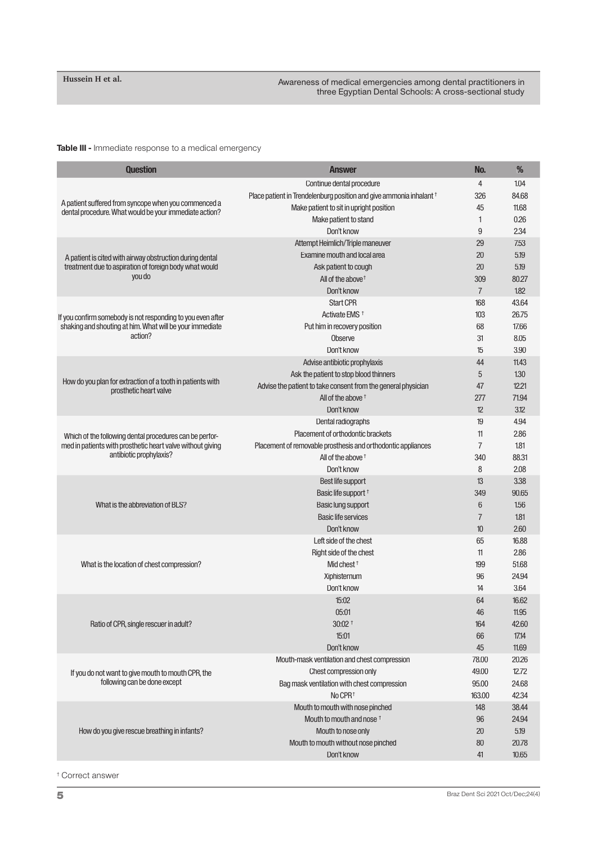#### Awareness of medical emergencies among dental practitioners in three Egyptian Dental Schools: A cross-sectional study

**Table III -** Immediate response to a medical emergency

| <b>Question</b>                                                                                                         | <b>Answer</b>                                                                  | No.            | %     |
|-------------------------------------------------------------------------------------------------------------------------|--------------------------------------------------------------------------------|----------------|-------|
| A patient suffered from syncope when you commenced a<br>dental procedure. What would be your immediate action?          | Continue dental procedure                                                      | 4              | 1.04  |
|                                                                                                                         | Place patient in Trendelenburg position and give ammonia inhalant <sup>†</sup> | 326            | 84.68 |
|                                                                                                                         | Make patient to sit in upright position                                        | 45             | 11.68 |
|                                                                                                                         | Make patient to stand                                                          | $\mathbf{1}$   | 0.26  |
|                                                                                                                         | Don't know                                                                     | 9              | 2.34  |
|                                                                                                                         | Attempt Heimlich/Triple maneuver                                               | 29             | 7.53  |
| A patient is cited with airway obstruction during dental                                                                | Examine mouth and local area                                                   | 20             | 5.19  |
| treatment due to aspiration of foreign body what would<br>you do                                                        | Ask patient to cough                                                           | 20             | 5.19  |
|                                                                                                                         | All of the above $†$                                                           | 309            | 80.27 |
|                                                                                                                         | Don't know                                                                     | $\overline{7}$ | 1.82  |
|                                                                                                                         | <b>Start CPR</b>                                                               | 168            | 43.64 |
| If you confirm somebody is not responding to you even after<br>shaking and shouting at him. What will be your immediate | Activate EMS <sup>+</sup>                                                      | 103            | 26.75 |
|                                                                                                                         | Put him in recovery position                                                   | 68             | 17.66 |
| action?                                                                                                                 | Observe                                                                        | 31             | 8.05  |
|                                                                                                                         | Don't know                                                                     | 15             | 3.90  |
|                                                                                                                         | Advise antibiotic prophylaxis                                                  | 44             | 11.43 |
|                                                                                                                         | Ask the patient to stop blood thinners                                         | 5              | 1.30  |
| How do you plan for extraction of a tooth in patients with<br>prosthetic heart valve                                    | Advise the patient to take consent from the general physician                  | 47             | 12.21 |
|                                                                                                                         | All of the above <sup>+</sup>                                                  | 277            | 71.94 |
|                                                                                                                         | Don't know                                                                     | 12             | 3.12  |
|                                                                                                                         | Dental radiographs                                                             | 19             | 4.94  |
| Which of the following dental procedures can be perfor-                                                                 | Placement of orthodontic brackets                                              | $\uparrow$     | 2.86  |
| med in patients with prosthetic heart valve without giving                                                              | Placement of removable prosthesis and orthodontic appliances                   | $\overline{7}$ | 1.81  |
| antibiotic prophylaxis?                                                                                                 | All of the above $†$                                                           | 340            | 88.31 |
|                                                                                                                         | Don't know                                                                     | 8              | 2.08  |
|                                                                                                                         | Best life support                                                              | 13             | 3.38  |
|                                                                                                                         | Basic life support <sup>+</sup>                                                | 349            | 90.65 |
| What is the abbreviation of BLS?                                                                                        | <b>Basic lung support</b>                                                      | 6              | 1.56  |
|                                                                                                                         | <b>Basic life services</b>                                                     | $\overline{7}$ | 1.81  |
|                                                                                                                         | Don't know                                                                     | $10$           | 2.60  |
| What is the location of chest compression?                                                                              | Left side of the chest                                                         | 65             | 16.88 |
|                                                                                                                         | Right side of the chest                                                        | 11             | 2.86  |
|                                                                                                                         | Mid chest <sup>+</sup>                                                         | 199            | 51.68 |
|                                                                                                                         | Xiphisternum                                                                   | 96             | 24.94 |
|                                                                                                                         | Don't know                                                                     | 14             | 3.64  |
|                                                                                                                         | 15:02                                                                          | 64             | 16.62 |
|                                                                                                                         | 05:01                                                                          | 46             | 11.95 |
| Ratio of CPR, single rescuer in adult?                                                                                  | $30:02$ <sup>+</sup>                                                           | 164            | 42.60 |
|                                                                                                                         | 15:01                                                                          | 66             | 17.14 |
|                                                                                                                         | Don't know                                                                     | 45             | 11.69 |
|                                                                                                                         | Mouth-mask ventilation and chest compression                                   | 78.00          | 20.26 |
| If you do not want to give mouth to mouth CPR, the                                                                      | Chest compression only                                                         | 49.00          | 12.72 |
| following can be done except                                                                                            | Bag mask ventilation with chest compression                                    | 95.00          | 24.68 |
|                                                                                                                         | No CPR <sup>+</sup>                                                            | 163.00         | 42.34 |
| How do you give rescue breathing in infants?                                                                            | Mouth to mouth with nose pinched                                               | 148            | 38.44 |
|                                                                                                                         | Mouth to mouth and nose <sup>+</sup>                                           | 96             | 24.94 |
|                                                                                                                         | Mouth to nose only                                                             | 20             | 5.19  |
|                                                                                                                         | Mouth to mouth without nose pinched                                            | 80             | 20.78 |
|                                                                                                                         | Don't know                                                                     | 41             | 10.65 |

† Correct answer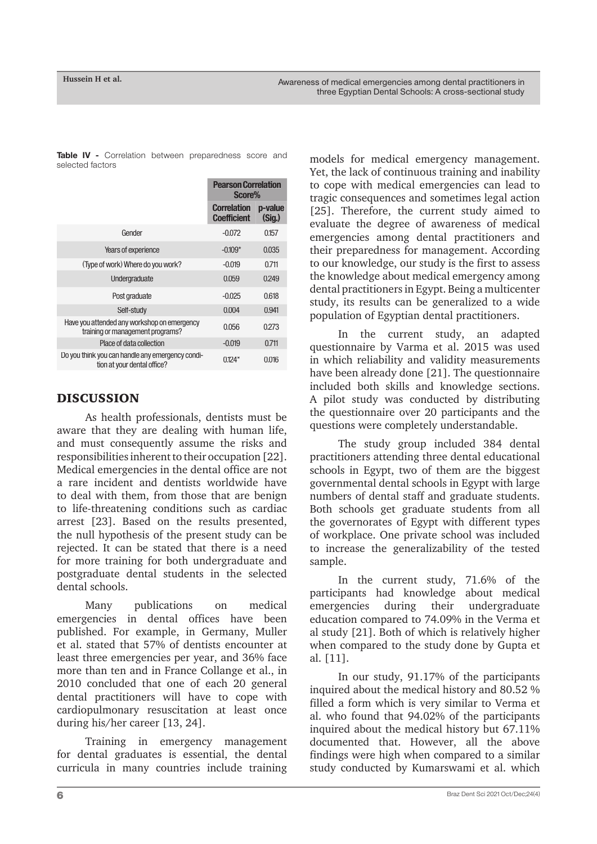**Table IV -** Correlation between preparedness score and selected factors

|                                                                                 | <b>Pearson Correlation</b><br>Score%     |                   |
|---------------------------------------------------------------------------------|------------------------------------------|-------------------|
|                                                                                 | <b>Correlation</b><br><b>Coefficient</b> | p-value<br>(Siq.) |
| Gender                                                                          | $-0.072$                                 | 0.157             |
| Years of experience                                                             | $-0.109*$                                | 0.035             |
| (Type of work) Where do you work?                                               | $-0.019$                                 | 0.711             |
| Undergraduate                                                                   | 0.059                                    | 0.249             |
| Post graduate                                                                   | $-0.025$                                 | 0.618             |
| Self-study                                                                      | 0.004                                    | 0.941             |
| Have you attended any workshop on emergency<br>training or management programs? | 0.056                                    | 0.273             |
| Place of data collection                                                        | $-0.019$                                 | 0.711             |
| Do you think you can handle any emergency condi-<br>tion at your dental office? | $0.124*$                                 | 0.016             |

## DISCUSSION

As health professionals, dentists must be aware that they are dealing with human life, and must consequently assume the risks and responsibilities inherent to their occupation [22]. Medical emergencies in the dental office are not a rare incident and dentists worldwide have to deal with them, from those that are benign to life-threatening conditions such as cardiac arrest [23]. Based on the results presented, the null hypothesis of the present study can be rejected. It can be stated that there is a need for more training for both undergraduate and postgraduate dental students in the selected dental schools.

Many publications on medical emergencies in dental offices have been published. For example, in Germany, Muller et al. stated that 57% of dentists encounter at least three emergencies per year, and 36% face more than ten and in France Collange et al., in 2010 concluded that one of each 20 general dental practitioners will have to cope with cardiopulmonary resuscitation at least once during his/her career [13, 24].

Training in emergency management for dental graduates is essential, the dental curricula in many countries include training models for medical emergency management. Yet, the lack of continuous training and inability to cope with medical emergencies can lead to tragic consequences and sometimes legal action [25]. Therefore, the current study aimed to evaluate the degree of awareness of medical emergencies among dental practitioners and their preparedness for management. According to our knowledge, our study is the first to assess the knowledge about medical emergency among dental practitioners in Egypt. Being a multicenter study, its results can be generalized to a wide population of Egyptian dental practitioners.

In the current study, an adapted questionnaire by Varma et al. 2015 was used in which reliability and validity measurements have been already done [21]. The questionnaire included both skills and knowledge sections. A pilot study was conducted by distributing the questionnaire over 20 participants and the questions were completely understandable.

The study group included 384 dental practitioners attending three dental educational schools in Egypt, two of them are the biggest governmental dental schools in Egypt with large numbers of dental staff and graduate students. Both schools get graduate students from all the governorates of Egypt with different types of workplace. One private school was included to increase the generalizability of the tested sample.

In the current study, 71.6% of the participants had knowledge about medical emergencies during their undergraduate education compared to 74.09% in the Verma et al study [21]. Both of which is relatively higher when compared to the study done by Gupta et al. [11].

In our study, 91.17% of the participants inquired about the medical history and 80.52 % filled a form which is very similar to Verma et al. who found that 94.02% of the participants inquired about the medical history but 67.11% documented that. However, all the above findings were high when compared to a similar study conducted by Kumarswami et al. which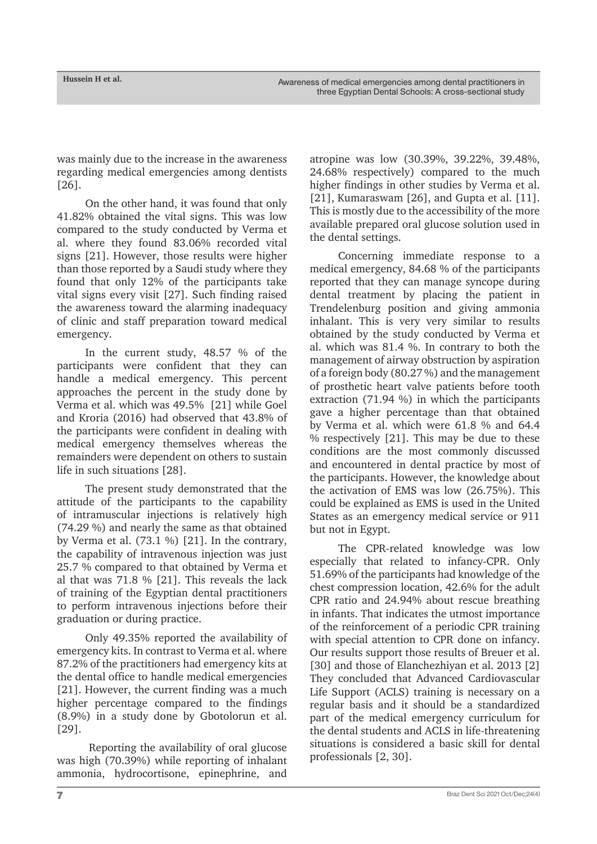was mainly due to the increase in the awareness regarding medical emergencies among dentists [26].

On the other hand, it was found that only 41.82% obtained the vital signs. This was low compared to the study conducted by Verma et al. where they found 83.06% recorded vital signs [21]. However, those results were higher than those reported by a Saudi study where they found that only 12% of the participants take vital signs every visit [27]. Such finding raised the awareness toward the alarming inadequacy of clinic and staff preparation toward medical emergency.

In the current study, 48.57 % of the participants were confident that they can handle a medical emergency. This percent approaches the percent in the study done by Verma et al. which was 49.5% [21] while Goel and Kroria (2016) had observed that 43.8% of the participants were confident in dealing with medical emergency themselves whereas the remainders were dependent on others to sustain life in such situations [28].

The present study demonstrated that the attitude of the participants to the capability of intramuscular injections is relatively high (74.29 %) and nearly the same as that obtained by Verma et al. (73.1 %) [21]. In the contrary, the capability of intravenous injection was just 25.7 % compared to that obtained by Verma et al that was 71.8 % [21]. This reveals the lack of training of the Egyptian dental practitioners to perform intravenous injections before their graduation or during practice.

Only 49.35% reported the availability of emergency kits. In contrast to Verma et al. where 87.2% of the practitioners had emergency kits at the dental office to handle medical emergencies [21]. However, the current finding was a much higher percentage compared to the findings (8.9%) in a study done by Gbotolorun et al. [29].

 Reporting the availability of oral glucose was high (70.39%) while reporting of inhalant ammonia, hydrocortisone, epinephrine, and

atropine was low (30.39%, 39.22%, 39.48%, 24.68% respectively) compared to the much higher findings in other studies by Verma et al. [21], Kumaraswam [26], and Gupta et al. [11]. This is mostly due to the accessibility of the more available prepared oral glucose solution used in the dental settings.

Concerning immediate response to a medical emergency, 84.68 % of the participants reported that they can manage syncope during dental treatment by placing the patient in Trendelenburg position and giving ammonia inhalant. This is very very similar to results obtained by the study conducted by Verma et al. which was 81.4 %. In contrary to both the management of airway obstruction by aspiration of a foreign body (80.27 %) and the management of prosthetic heart valve patients before tooth extraction (71.94 %) in which the participants gave a higher percentage than that obtained by Verma et al. which were 61.8 % and 64.4 % respectively [21]. This may be due to these conditions are the most commonly discussed and encountered in dental practice by most of the participants. However, the knowledge about the activation of EMS was low (26.75%). This could be explained as EMS is used in the United States as an emergency medical service or 911 but not in Egypt.

The CPR-related knowledge was low especially that related to infancy-CPR. Only 51.69% of the participants had knowledge of the chest compression location, 42.6% for the adult CPR ratio and 24.94% about rescue breathing in infants. That indicates the utmost importance of the reinforcement of a periodic CPR training with special attention to CPR done on infancy. Our results support those results of Breuer et al. [30] and those of Elanchezhiyan et al. 2013 [2] They concluded that Advanced Cardiovascular Life Support (ACLS) training is necessary on a regular basis and it should be a standardized part of the medical emergency curriculum for the dental students and ACLS in life-threatening situations is considered a basic skill for dental professionals [2, 30].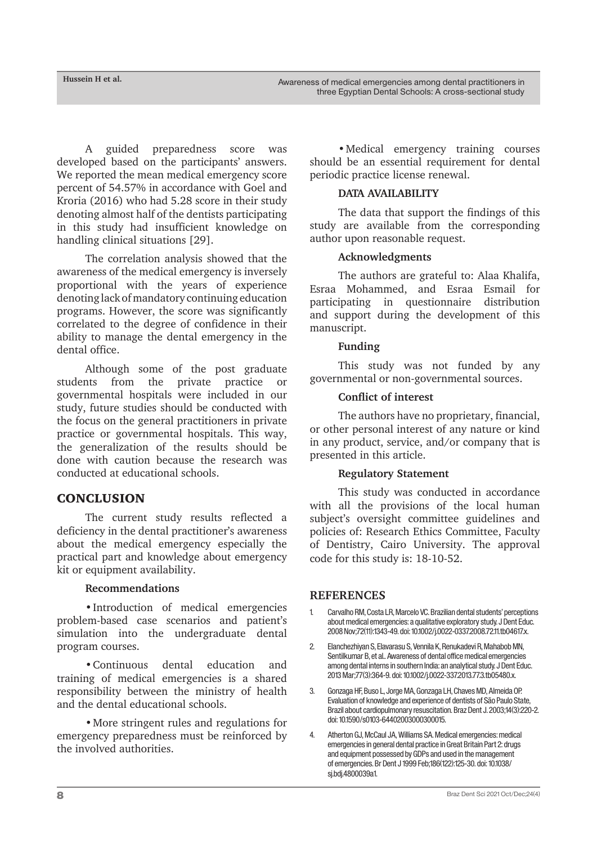**Hussein H et al.**

A guided preparedness score was developed based on the participants' answers. We reported the mean medical emergency score percent of 54.57% in accordance with Goel and Kroria (2016) who had 5.28 score in their study denoting almost half of the dentists participating in this study had insufficient knowledge on handling clinical situations [29].

The correlation analysis showed that the awareness of the medical emergency is inversely proportional with the years of experience denoting lack of mandatory continuing education programs. However, the score was significantly correlated to the degree of confidence in their ability to manage the dental emergency in the dental office.

Although some of the post graduate students from the private practice or governmental hospitals were included in our study, future studies should be conducted with the focus on the general practitioners in private practice or governmental hospitals. This way, the generalization of the results should be done with caution because the research was conducted at educational schools.

## **CONCLUSION**

The current study results reflected a deficiency in the dental practitioner's awareness about the medical emergency especially the practical part and knowledge about emergency kit or equipment availability.

#### **Recommendations**

• Introduction of medical emergencies problem-based case scenarios and patient's simulation into the undergraduate dental program courses.

• Continuous dental education and training of medical emergencies is a shared responsibility between the ministry of health and the dental educational schools.

• More stringent rules and regulations for emergency preparedness must be reinforced by the involved authorities.

• Medical emergency training courses should be an essential requirement for dental periodic practice license renewal.

#### **DATA AVAILABILITY**

The data that support the findings of this study are available from the corresponding author upon reasonable request.

#### **Acknowledgments**

The authors are grateful to: Alaa Khalifa, Esraa Mohammed, and Esraa Esmail for participating in questionnaire distribution and support during the development of this manuscript.

#### **Funding**

This study was not funded by any governmental or non-governmental sources.

#### **Conflict of interest**

The authors have no proprietary, financial, or other personal interest of any nature or kind in any product, service, and/or company that is presented in this article.

#### **Regulatory Statement**

This study was conducted in accordance with all the provisions of the local human subject's oversight committee guidelines and policies of: Research Ethics Committee, Faculty of Dentistry, Cairo University. The approval code for this study is: 18-10-52.

## **REFERENCES**

- 1. Carvalho RM, Costa LR, Marcelo VC. Brazilian dental students' perceptions about medical emergencies: a qualitative exploratory study. J Dent Educ. 2008 Nov;72(11):1343-49. doi: 10.1002/j.0022-0337.2008.72.11.tb04617.x.
- 2. Elanchezhiyan S, Elavarasu S, Vennila K, Renukadevi R, Mahabob MN, Sentilkumar B, et al.. Awareness of dental office medical emergencies among dental interns in southern India: an analytical study. J Dent Educ. 2013 Mar;77(3):364-9. doi: 10.1002/j.0022-337.2013.77.3.tb05480.x.
- 3. Gonzaga HF, Buso L, Jorge MA, Gonzaga LH, Chaves MD, Almeida OP. Evaluation of knowledge and experience of dentists of São Paulo State, Brazil about cardiopulmonary resuscitation. Braz Dent J. 2003;14(3):220-2. doi: 10.1590/s0103-64402003000300015.
- 4. Atherton GJ, McCaul JA, Williams SA. Medical emergencies: medical emergencies in general dental practice in Great Britain Part 2: drugs and equipment possessed by GDPs and used in the management of emergencies. Br Dent J 1999 Feb;186(122):125-30. doi: 10.1038/ sj.bdj.4800039a1.